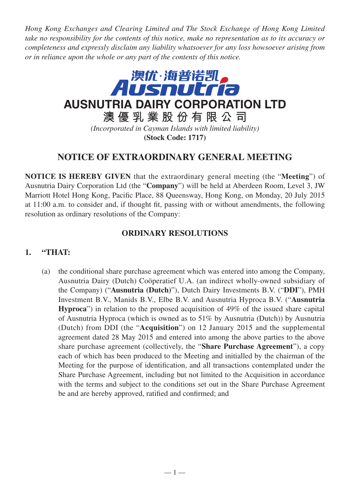*Hong Kong Exchanges and Clearing Limited and The Stock Exchange of Hong Kong Limited take no responsibility for the contents of this notice, make no representation as to its accuracy or completeness and expressly disclaim any liability whatsoever for any loss howsoever arising from or in reliance upon the whole or any part of the contents of this notice.*



## **NOTICE OF EXTRAORDINARY GENERAL MEETING**

**NOTICE IS HEREBY GIVEN** that the extraordinary general meeting (the "**Meeting**") of Ausnutria Dairy Corporation Ltd (the "**Company**") will be held at Aberdeen Room, Level 3, JW Marriott Hotel Hong Kong, Pacific Place, 88 Queensway, Hong Kong, on Monday, 20 July 2015 at 11:00 a.m. to consider and, if thought fit, passing with or without amendments, the following resolution as ordinary resolutions of the Company:

## **ORDINARY RESOLUTIONS**

## **1. "THAT:**

(a) the conditional share purchase agreement which was entered into among the Company, Ausnutria Dairy (Dutch) Coöperatief U.A. (an indirect wholly-owned subsidiary of the Company) ("**Ausnutria (Dutch)**"), Dutch Dairy Investments B.V. ("**DDI**"), PMH Investment B.V., Manids B.V., Elbe B.V. and Ausnutria Hyproca B.V. ("**Ausnutria Hyproca**") in relation to the proposed acquisition of 49% of the issued share capital of Ausnutria Hyproca (which is owned as to 51% by Ausnutria (Dutch)) by Ausnutria (Dutch) from DDI (the "**Acquisition**") on 12 January 2015 and the supplemental agreement dated 28 May 2015 and entered into among the above parties to the above share purchase agreement (collectively, the "**Share Purchase Agreement**"), a copy each of which has been produced to the Meeting and initialled by the chairman of the Meeting for the purpose of identification, and all transactions contemplated under the Share Purchase Agreement, including but not limited to the Acquisition in accordance with the terms and subject to the conditions set out in the Share Purchase Agreement be and are hereby approved, ratified and confirmed; and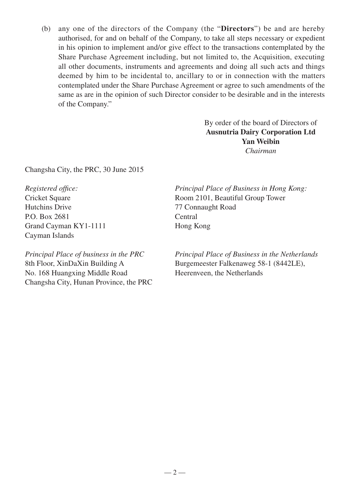(b) any one of the directors of the Company (the "**Directors**") be and are hereby authorised, for and on behalf of the Company, to take all steps necessary or expedient in his opinion to implement and/or give effect to the transactions contemplated by the Share Purchase Agreement including, but not limited to, the Acquisition, executing all other documents, instruments and agreements and doing all such acts and things deemed by him to be incidental to, ancillary to or in connection with the matters contemplated under the Share Purchase Agreement or agree to such amendments of the same as are in the opinion of such Director consider to be desirable and in the interests of the Company."

> By order of the board of Directors of **Ausnutria Dairy Corporation Ltd Yan Weibin** *Chairman*

Changsha City, the PRC, 30 June 2015

*Registered office:* Cricket Square Hutchins Drive P.O. Box 2681 Grand Cayman KY1-1111 Cayman Islands

*Principal Place of business in the PRC* 8th Floor, XinDaXin Building A No. 168 Huangxing Middle Road Changsha City, Hunan Province, the PRC *Principal Place of Business in Hong Kong:* Room 2101, Beautiful Group Tower 77 Connaught Road Central Hong Kong

*Principal Place of Business in the Netherlands* Burgemeester Falkenaweg 58-1 (8442LE), Heerenveen, the Netherlands